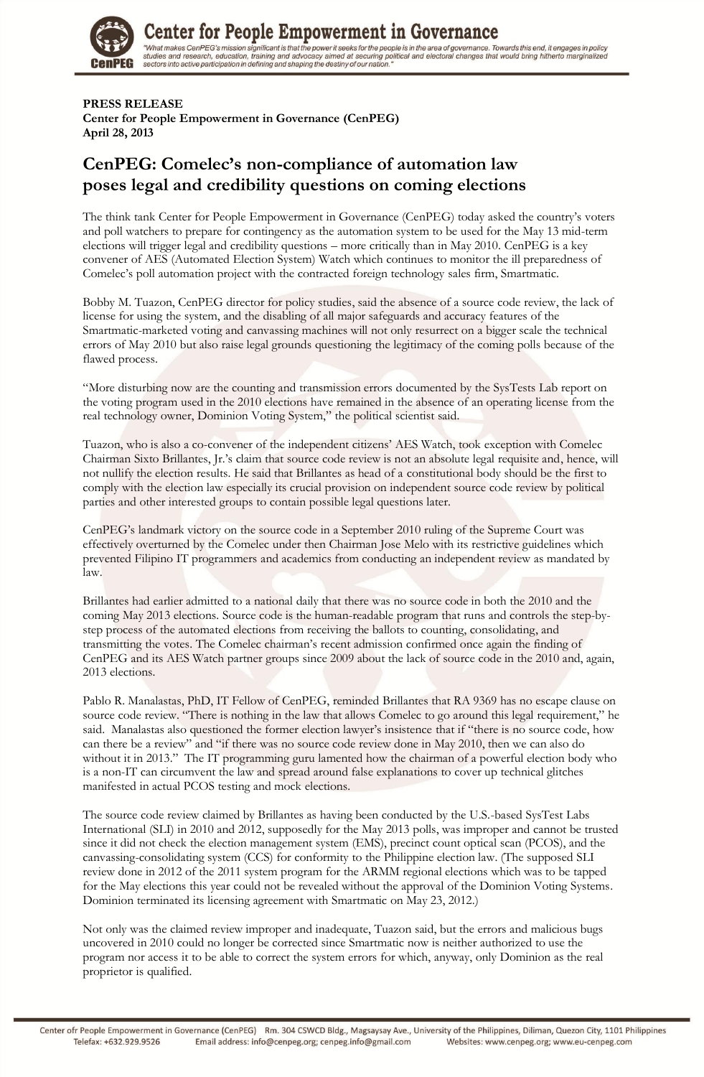

# Center for People Empowerment in Governance

"What makes CenPEG's mission significant is that the power it seeks for the people is in the area of governance. Towards this end, it engages in policy<br>studies and research, education, training and advocacy aimed at securi

#### **PRESS RELEASE**

**Center for People Empowerment in Governance (CenPEG) April 28, 2013**

### **CenPEG: Comelec's non-compliance of automation law poses legal and credibility questions on coming elections**

The think tank Center for People Empowerment in Governance (CenPEG) today asked the country"s voters and poll watchers to prepare for contingency as the automation system to be used for the May 13 mid-term elections will trigger legal and credibility questions – more critically than in May 2010. CenPEG is a key convener of AES (Automated Election System) Watch which continues to monitor the ill preparedness of Comelec"s poll automation project with the contracted foreign technology sales firm, Smartmatic.

Bobby M. Tuazon, CenPEG director for policy studies, said the absence of a source code review, the lack of license for using the system, and the disabling of all major safeguards and accuracy features of the Smartmatic-marketed voting and canvassing machines will not only resurrect on a bigger scale the technical errors of May 2010 but also raise legal grounds questioning the legitimacy of the coming polls because of the flawed process.

"More disturbing now are the counting and transmission errors documented by the SysTests Lab report on the voting program used in the 2010 elections have remained in the absence of an operating license from the real technology owner, Dominion Voting System," the political scientist said.

Tuazon, who is also a co-convener of the independent citizens" AES Watch, took exception with Comelec Chairman Sixto Brillantes, Jr."s claim that source code review is not an absolute legal requisite and, hence, will not nullify the election results. He said that Brillantes as head of a constitutional body should be the first to comply with the election law especially its crucial provision on independent source code review by political parties and other interested groups to contain possible legal questions later.

CenPEG"s landmark victory on the source code in a September 2010 ruling of the Supreme Court was effectively overturned by the Comelec under then Chairman Jose Melo with its restrictive guidelines which prevented Filipino IT programmers and academics from conducting an independent review as mandated by law.

Brillantes had earlier admitted to a national daily that there was no source code in both the 2010 and the coming May 2013 elections. Source code is the human-readable program that runs and controls the step-bystep process of the automated elections from receiving the ballots to counting, consolidating, and transmitting the votes. The Comelec chairman"s recent admission confirmed once again the finding of CenPEG and its AES Watch partner groups since 2009 about the lack of source code in the 2010 and, again, 2013 elections.

Pablo R. Manalastas, PhD, IT Fellow of CenPEG, reminded Brillantes that RA 9369 has no escape clause on source code review. "There is nothing in the law that allows Comelec to go around this legal requirement," he said. Manalastas also questioned the former election lawyer's insistence that if "there is no source code, how can there be a review" and "if there was no source code review done in May 2010, then we can also do without it in 2013." The IT programming guru lamented how the chairman of a powerful election body who is a non-IT can circumvent the law and spread around false explanations to cover up technical glitches manifested in actual PCOS testing and mock elections.

The source code review claimed by Brillantes as having been conducted by the U.S.-based SysTest Labs International (SLI) in 2010 and 2012, supposedly for the May 2013 polls, was improper and cannot be trusted since it did not check the election management system (EMS), precinct count optical scan (PCOS), and the canvassing-consolidating system (CCS) for conformity to the Philippine election law. (The supposed SLI review done in 2012 of the 2011 system program for the ARMM regional elections which was to be tapped for the May elections this year could not be revealed without the approval of the Dominion Voting Systems. Dominion terminated its licensing agreement with Smartmatic on May 23, 2012.)

Not only was the claimed review improper and inadequate, Tuazon said, but the errors and malicious bugs uncovered in 2010 could no longer be corrected since Smartmatic now is neither authorized to use the program nor access it to be able to correct the system errors for which, anyway, only Dominion as the real proprietor is qualified.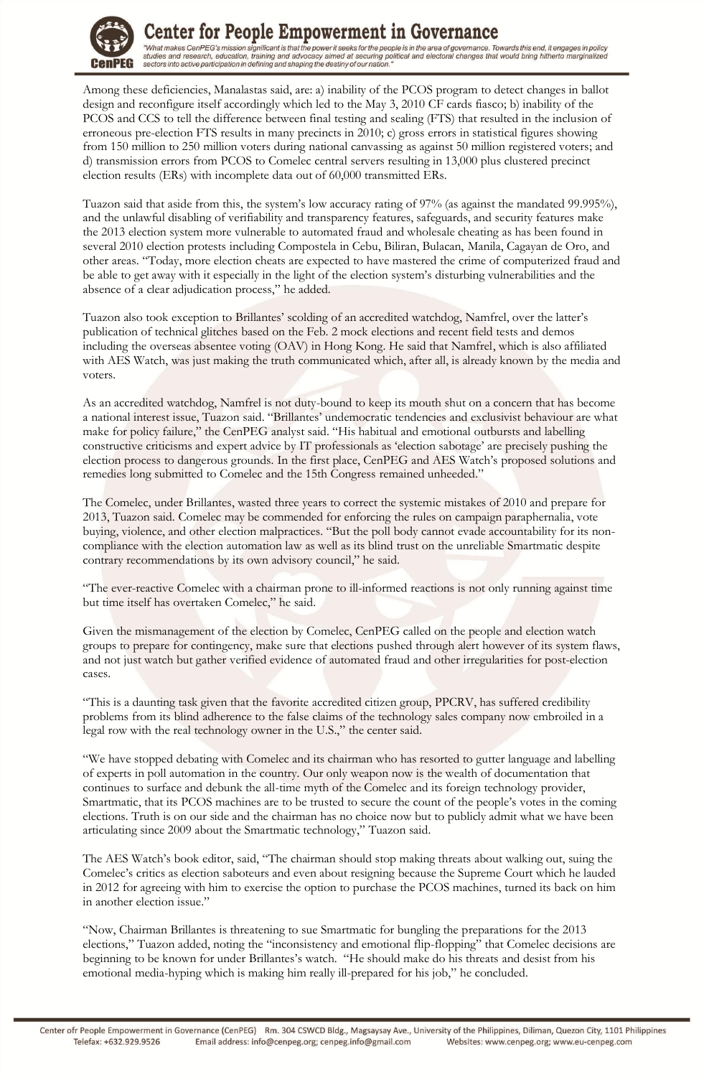

## Center for People Empowerment in Governance

"What makes CenPEG's mission significant is that the power it seeks for the people is in the area of governance. Towards this end, it engages in policy<br>studies and research, education, training and advocacy aimed at securi

Among these deficiencies, Manalastas said, are: a) inability of the PCOS program to detect changes in ballot design and reconfigure itself accordingly which led to the May 3, 2010 CF cards fiasco; b) inability of the PCOS and CCS to tell the difference between final testing and sealing (FTS) that resulted in the inclusion of erroneous pre-election FTS results in many precincts in 2010; c) gross errors in statistical figures showing from 150 million to 250 million voters during national canvassing as against 50 million registered voters; and d) transmission errors from PCOS to Comelec central servers resulting in 13,000 plus clustered precinct election results (ERs) with incomplete data out of 60,000 transmitted ERs.

Tuazon said that aside from this, the system"s low accuracy rating of 97% (as against the mandated 99.995%), and the unlawful disabling of verifiability and transparency features, safeguards, and security features make the 2013 election system more vulnerable to automated fraud and wholesale cheating as has been found in several 2010 election protests including Compostela in Cebu, Biliran, Bulacan, Manila, Cagayan de Oro, and other areas. "Today, more election cheats are expected to have mastered the crime of computerized fraud and be able to get away with it especially in the light of the election system"s disturbing vulnerabilities and the absence of a clear adjudication process," he added.

Tuazon also took exception to Brillantes' scolding of an accredited watchdog, Namfrel, over the latter's publication of technical glitches based on the Feb. 2 mock elections and recent field tests and demos including the overseas absentee voting (OAV) in Hong Kong. He said that Namfrel, which is also affiliated with AES Watch, was just making the truth communicated which, after all, is already known by the media and voters.

As an accredited watchdog, Namfrel is not duty-bound to keep its mouth shut on a concern that has become a national interest issue, Tuazon said. "Brillantes" undemocratic tendencies and exclusivist behaviour are what make for policy failure," the CenPEG analyst said. "His habitual and emotional outbursts and labelling constructive criticisms and expert advice by IT professionals as "election sabotage" are precisely pushing the election process to dangerous grounds. In the first place, CenPEG and AES Watch"s proposed solutions and remedies long submitted to Comelec and the 15th Congress remained unheeded."

The Comelec, under Brillantes, wasted three years to correct the systemic mistakes of 2010 and prepare for 2013, Tuazon said. Comelec may be commended for enforcing the rules on campaign paraphernalia, vote buying, violence, and other election malpractices. "But the poll body cannot evade accountability for its noncompliance with the election automation law as well as its blind trust on the unreliable Smartmatic despite contrary recommendations by its own advisory council," he said.

"The ever-reactive Comelec with a chairman prone to ill-informed reactions is not only running against time but time itself has overtaken Comelec," he said.

Given the mismanagement of the election by Comelec, CenPEG called on the people and election watch groups to prepare for contingency, make sure that elections pushed through alert however of its system flaws, and not just watch but gather verified evidence of automated fraud and other irregularities for post-election cases.

"This is a daunting task given that the favorite accredited citizen group, PPCRV, has suffered credibility problems from its blind adherence to the false claims of the technology sales company now embroiled in a legal row with the real technology owner in the U.S.," the center said.

"We have stopped debating with Comelec and its chairman who has resorted to gutter language and labelling of experts in poll automation in the country. Our only weapon now is the wealth of documentation that continues to surface and debunk the all-time myth of the Comelec and its foreign technology provider, Smartmatic, that its PCOS machines are to be trusted to secure the count of the people's votes in the coming elections. Truth is on our side and the chairman has no choice now but to publicly admit what we have been articulating since 2009 about the Smartmatic technology," Tuazon said.

The AES Watch's book editor, said, "The chairman should stop making threats about walking out, suing the Comelec's critics as election saboteurs and even about resigning because the Supreme Court which he lauded in 2012 for agreeing with him to exercise the option to purchase the PCOS machines, turned its back on him in another election issue."

"Now, Chairman Brillantes is threatening to sue Smartmatic for bungling the preparations for the 2013 elections," Tuazon added, noting the "inconsistency and emotional flip-flopping" that Comelec decisions are beginning to be known for under Brillantes's watch. "He should make do his threats and desist from his emotional media-hyping which is making him really ill-prepared for his job," he concluded.